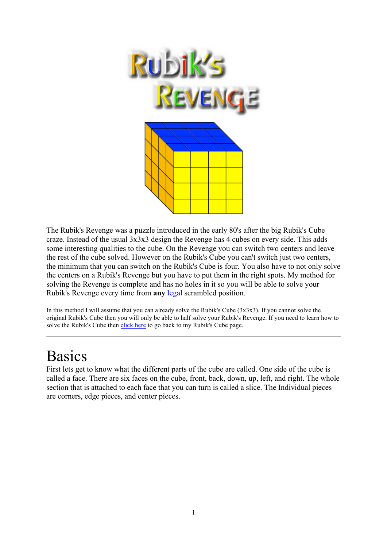

The Rubik's Revenge was a puzzle introduced in the early 80's after the big Rubik's Cube craze. Instead of the usual 3x3x3 design the Revenge has 4 cubes on every side. This adds some interesting qualities to the cube. On the Revenge you can switch two centers and leave the rest of the cube solved. However on the Rubik's Cube you can't switch just two centers, the minimum that you can switch on the Rubik's Cube is four. You also have to not only solve the centers on a Rubik's Revenge but you have to put them in the right spots. My method for solving the Revenge is complete and has no holes in it so you will be able to solve your Rubik's Revenge every time from **any** legal scrambled position.

In this method I will assume that you can already solve the Rubik's Cube (3x3x3). If you cannot solve the original Rubik's Cube then you will only be able to half solve your Rubik's Revenge. If you need to learn how to solve the Rubik's Cube then click here to go back to my Rubik's Cube page.

# Basics

First lets get to know what the different parts of the cube are called. One side of the cube is called a face. There are six faces on the cube, front, back, down, up, left, and right. The whole section that is attached to each face that you can turn is called a slice. The Individual pieces are corners, edge pieces, and center pieces.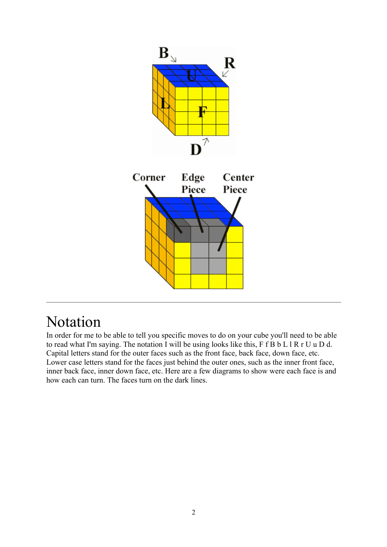

# Notation

In order for me to be able to tell you specific moves to do on your cube you'll need to be able to read what I'm saying. The notation I will be using looks like this, F f B b L l R r U u D d. Capital letters stand for the outer faces such as the front face, back face, down face, etc. Lower case letters stand for the faces just behind the outer ones, such as the inner front face, inner back face, inner down face, etc. Here are a few diagrams to show were each face is and how each can turn. The faces turn on the dark lines.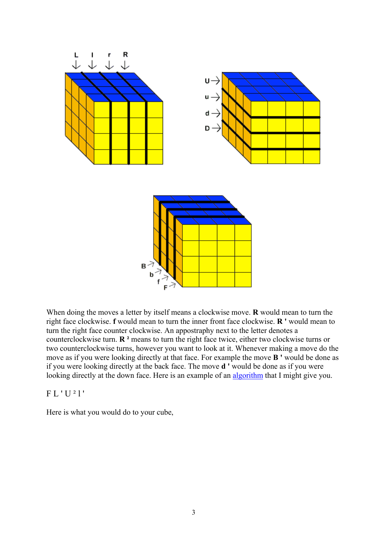

When doing the moves a letter by itself means a clockwise move. **R** would mean to turn the right face clockwise. **f** would mean to turn the inner front face clockwise. **R '** would mean to turn the right face counter clockwise. An appostraphy next to the letter denotes a counterclockwise turn. **R ²** means to turn the right face twice, either two clockwise turns or two counterclockwise turns, however you want to look at it. Whenever making a move do the move as if you were looking directly at that face. For example the move **B '** would be done as if you were looking directly at the back face. The move **d '** would be done as if you were looking directly at the down face. Here is an example of an algorithm that I might give you.

#### F L ' U ² l '

Here is what you would do to your cube,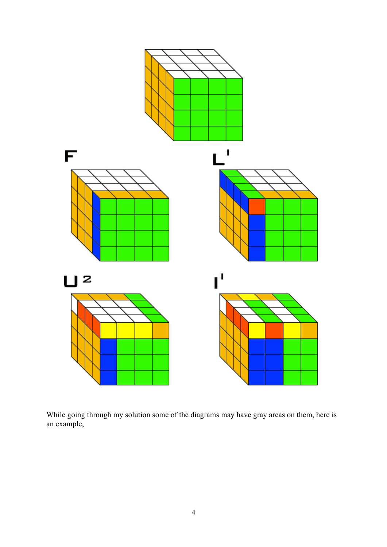

While going through my solution some of the diagrams may have gray areas on them, here is an example,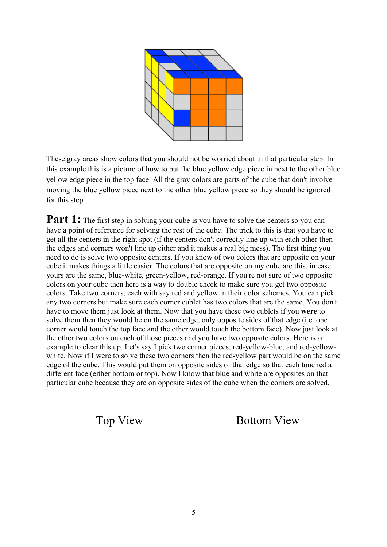

These gray areas show colors that you should not be worried about in that particular step. In this example this is a picture of how to put the blue yellow edge piece in next to the other blue yellow edge piece in the top face. All the gray colors are parts of the cube that don't involve moving the blue yellow piece next to the other blue yellow piece so they should be ignored for this step.

**Part 1:** The first step in solving your cube is you have to solve the centers so you can have a point of reference for solving the rest of the cube. The trick to this is that you have to get all the centers in the right spot (if the centers don't correctly line up with each other then the edges and corners won't line up either and it makes a real big mess). The first thing you need to do is solve two opposite centers. If you know of two colors that are opposite on your cube it makes things a little easier. The colors that are opposite on my cube are this, in case yours are the same, blue-white, green-yellow, red-orange. If you're not sure of two opposite colors on your cube then here is a way to double check to make sure you get two opposite colors. Take two corners, each with say red and yellow in their color schemes. You can pick any two corners but make sure each corner cublet has two colors that are the same. You don't have to move them just look at them. Now that you have these two cublets if you **were** to solve them then they would be on the same edge, only opposite sides of that edge (i.e. one corner would touch the top face and the other would touch the bottom face). Now just look at the other two colors on each of those pieces and you have two opposite colors. Here is an example to clear this up. Let's say I pick two corner pieces, red-yellow-blue, and red-yellowwhite. Now if I were to solve these two corners then the red-yellow part would be on the same edge of the cube. This would put them on opposite sides of that edge so that each touched a different face (either bottom or top). Now I know that blue and white are opposites on that particular cube because they are on opposite sides of the cube when the corners are solved.

Top View Bottom View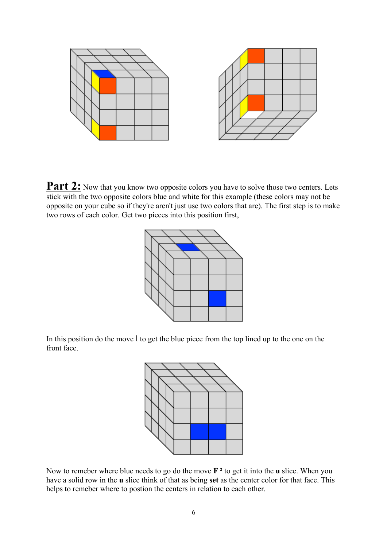

**Part 2:** Now that you know two opposite colors you have to solve those two centers. Lets stick with the two opposite colors blue and white for this example (these colors may not be opposite on your cube so if they're aren't just use two colors that are). The first step is to make two rows of each color. Get two pieces into this position first,



In this position do the move l to get the blue piece from the top lined up to the one on the front face.



Now to remeber where blue needs to go do the move  $\mathbf{F}^2$  to get it into the **u** slice. When you have a solid row in the **u** slice think of that as being **set** as the center color for that face. This helps to remeber where to postion the centers in relation to each other.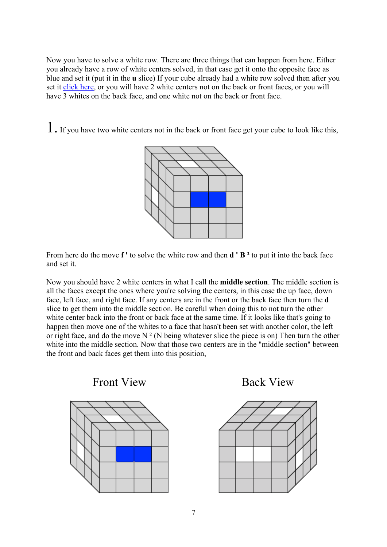Now you have to solve a white row. There are three things that can happen from here. Either you already have a row of white centers solved, in that case get it onto the opposite face as blue and set it (put it in the **u** slice) If your cube already had a white row solved then after you set it click here, or you will have 2 white centers not on the back or front faces, or you will have 3 whites on the back face, and one white not on the back or front face.

1. If you have two white centers not in the back or front face get your cube to look like this,



From here do the move **f '** to solve the white row and then **d ' B ²** to put it into the back face and set it.

Now you should have 2 white centers in what I call the **middle section**. The middle section is all the faces except the ones where you're solving the centers, in this case the up face, down face, left face, and right face. If any centers are in the front or the back face then turn the **d** slice to get them into the middle section. Be careful when doing this to not turn the other white center back into the front or back face at the same time. If it looks like that's going to happen then move one of the whites to a face that hasn't been set with another color, the left or right face, and do the move  $N^2$  (N being whatever slice the piece is on) Then turn the other white into the middle section. Now that those two centers are in the "middle section" between the front and back faces get them into this position,



Front View Back View

![](_page_6_Figure_7.jpeg)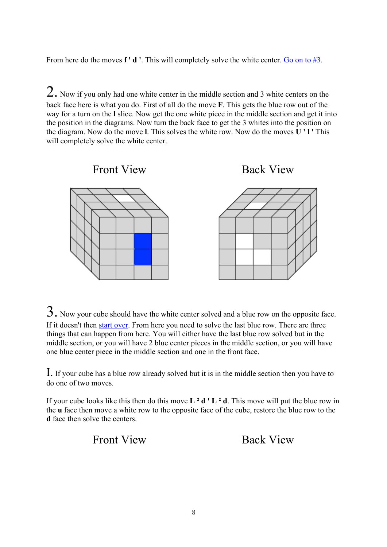From here do the moves **f ' d '**. This will completely solve the white center. Go on to #3.

 $2.$  Now if you only had one white center in the middle section and 3 white centers on the back face here is what you do. First of all do the move **F**. This gets the blue row out of the way for a turn on the **l** slice. Now get the one white piece in the middle section and get it into the position in the diagrams. Now turn the back face to get the 3 whites into the position on the diagram. Now do the move **l**. This solves the white row. Now do the moves **U ' l '** This will completely solve the white center.

![](_page_7_Figure_2.jpeg)

3. Now your cube should have the white center solved and a blue row on the opposite face. If it doesn't then start over. From here you need to solve the last blue row. There are three things that can happen from here. You will either have the last blue row solved but in the middle section, or you will have 2 blue center pieces in the middle section, or you will have one blue center piece in the middle section and one in the front face.

I. If your cube has a blue row already solved but it is in the middle section then you have to do one of two moves.

If your cube looks like this then do this move  $L^2 d' L^2 d$ . This move will put the blue row in the **u** face then move a white row to the opposite face of the cube, restore the blue row to the **d** face then solve the centers.

Front View Back View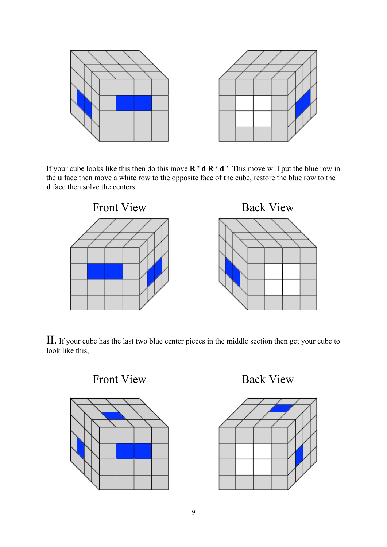![](_page_8_Figure_0.jpeg)

If your cube looks like this then do this move **R ² d R ² d '**. This move will put the blue row in the **u** face then move a white row to the opposite face of the cube, restore the blue row to the **d** face then solve the centers.

![](_page_8_Figure_2.jpeg)

II. If your cube has the last two blue center pieces in the middle section then get your cube to look like this,

![](_page_8_Figure_4.jpeg)

Front View Back View

![](_page_8_Figure_6.jpeg)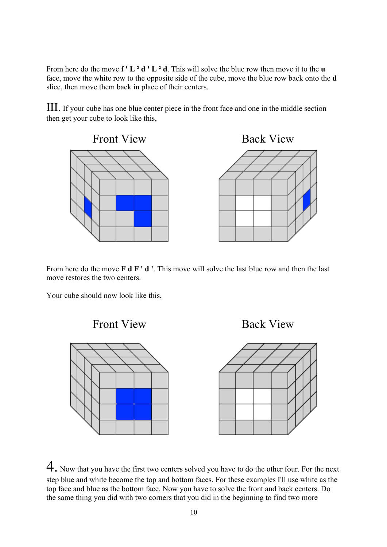From here do the move **f ' L ² d ' L ² d**. This will solve the blue row then move it to the **u** face, move the white row to the opposite side of the cube, move the blue row back onto the **d** slice, then move them back in place of their centers.

III. If your cube has one blue center piece in the front face and one in the middle section then get your cube to look like this,

![](_page_9_Figure_2.jpeg)

From here do the move **F d F ' d '**. This move will solve the last blue row and then the last move restores the two centers.

Your cube should now look like this,

![](_page_9_Figure_5.jpeg)

![](_page_9_Figure_6.jpeg)

![](_page_9_Figure_7.jpeg)

4. Now that you have the first two centers solved you have to do the other four. For the next step blue and white become the top and bottom faces. For these examples I'll use white as the top face and blue as the bottom face. Now you have to solve the front and back centers. Do the same thing you did with two corners that you did in the beginning to find two more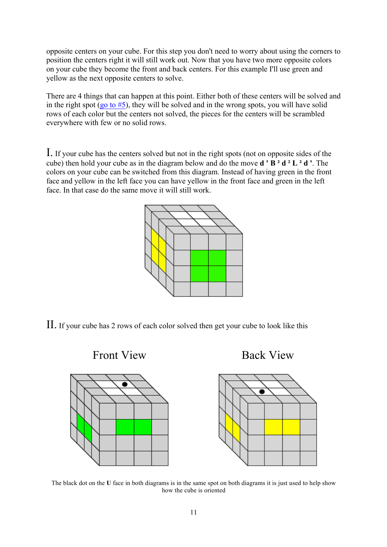opposite centers on your cube. For this step you don't need to worry about using the corners to position the centers right it will still work out. Now that you have two more opposite colors on your cube they become the front and back centers. For this example I'll use green and yellow as the next opposite centers to solve.

There are 4 things that can happen at this point. Either both of these centers will be solved and in the right spot (go to  $#5$ ), they will be solved and in the wrong spots, you will have solid rows of each color but the centers not solved, the pieces for the centers will be scrambled everywhere with few or no solid rows.

I. If your cube has the centers solved but not in the right spots (not on opposite sides of the cube) then hold your cube as in the diagram below and do the move **d ' B ² d ² L ² d '**. The colors on your cube can be switched from this diagram. Instead of having green in the front face and yellow in the left face you can have yellow in the front face and green in the left face. In that case do the same move it will still work.

![](_page_10_Figure_3.jpeg)

II. If your cube has 2 rows of each color solved then get your cube to look like this

![](_page_10_Figure_5.jpeg)

The black dot on the **U** face in both diagrams is in the same spot on both diagrams it is just used to help show how the cube is oriented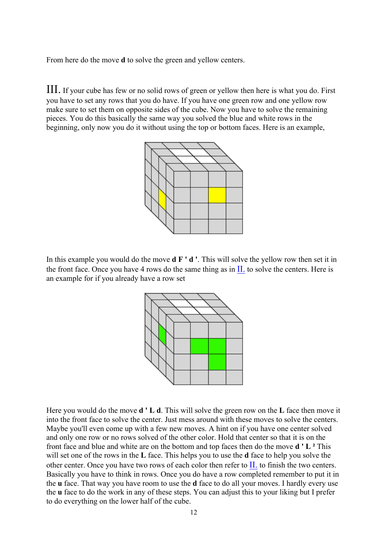From here do the move **d** to solve the green and yellow centers.

III. If your cube has few or no solid rows of green or yellow then here is what you do. First you have to set any rows that you do have. If you have one green row and one yellow row make sure to set them on opposite sides of the cube. Now you have to solve the remaining pieces. You do this basically the same way you solved the blue and white rows in the beginning, only now you do it without using the top or bottom faces. Here is an example,

![](_page_11_Figure_2.jpeg)

In this example you would do the move **d F ' d '**. This will solve the yellow row then set it in the front face. Once you have 4 rows do the same thing as in  $II$ , to solve the centers. Here is an example for if you already have a row set

![](_page_11_Figure_4.jpeg)

Here you would do the move **d ' L d**. This will solve the green row on the **L** face then move it into the front face to solve the center. Just mess around with these moves to solve the centers. Maybe you'll even come up with a few new moves. A hint on if you have one center solved and only one row or no rows solved of the other color. Hold that center so that it is on the front face and blue and white are on the bottom and top faces then do the move **d ' L ²** This will set one of the rows in the **L** face. This helps you to use the **d** face to help you solve the other center. Once you have two rows of each color then refer to II. to finish the two centers. Basically you have to think in rows. Once you do have a row completed remember to put it in the **u** face. That way you have room to use the **d** face to do all your moves. I hardly every use the **u** face to do the work in any of these steps. You can adjust this to your liking but I prefer to do everything on the lower half of the cube.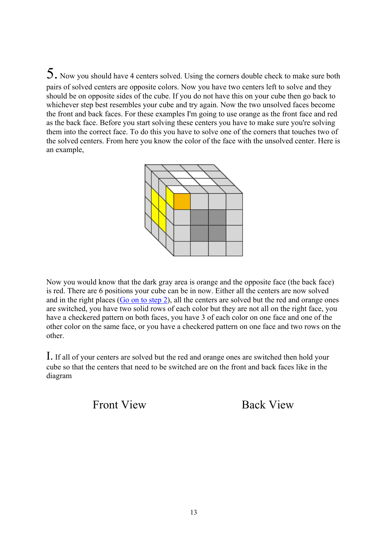5. Now you should have 4 centers solved. Using the corners double check to make sure both pairs of solved centers are opposite colors. Now you have two centers left to solve and they should be on opposite sides of the cube. If you do not have this on your cube then go back to whichever step best resembles your cube and try again. Now the two unsolved faces become the front and back faces. For these examples I'm going to use orange as the front face and red as the back face. Before you start solving these centers you have to make sure you're solving them into the correct face. To do this you have to solve one of the corners that touches two of the solved centers. From here you know the color of the face with the unsolved center. Here is an example,

![](_page_12_Figure_1.jpeg)

Now you would know that the dark gray area is orange and the opposite face (the back face) is red. There are 6 positions your cube can be in now. Either all the centers are now solved and in the right places (Go on to step 2), all the centers are solved but the red and orange ones are switched, you have two solid rows of each color but they are not all on the right face, you have a checkered pattern on both faces, you have 3 of each color on one face and one of the other color on the same face, or you have a checkered pattern on one face and two rows on the other.

I. If all of your centers are solved but the red and orange ones are switched then hold your cube so that the centers that need to be switched are on the front and back faces like in the diagram

Front View Back View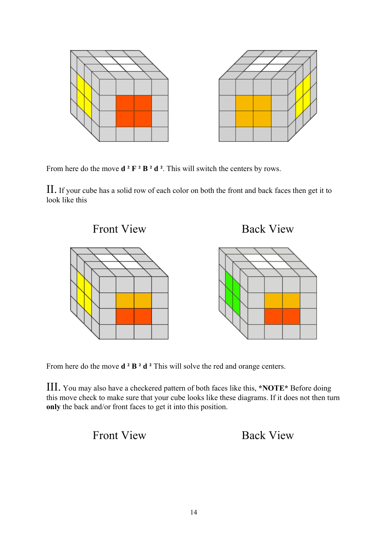![](_page_13_Figure_0.jpeg)

From here do the move **d ² F ² B ² d ²**. This will switch the centers by rows.

II. If your cube has a solid row of each color on both the front and back faces then get it to look like this

![](_page_13_Figure_3.jpeg)

From here do the move **d** <sup>2</sup> **B** <sup>2</sup> **d** <sup>2</sup> This will solve the red and orange centers.

III. You may also have a checkered pattern of both faces like this, **\*NOTE\*** Before doing this move check to make sure that your cube looks like these diagrams. If it does not then turn **only** the back and/or front faces to get it into this position.

## Front View Back View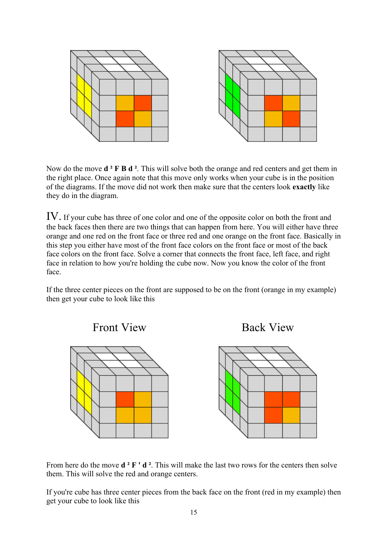![](_page_14_Figure_0.jpeg)

Now do the move **d ² F B d ²**. This will solve both the orange and red centers and get them in the right place. Once again note that this move only works when your cube is in the position of the diagrams. If the move did not work then make sure that the centers look **exactly** like they do in the diagram.

IV. If your cube has three of one color and one of the opposite color on both the front and the back faces then there are two things that can happen from here. You will either have three orange and one red on the front face or three red and one orange on the front face. Basically in this step you either have most of the front face colors on the front face or most of the back face colors on the front face. Solve a corner that connects the front face, left face, and right face in relation to how you're holding the cube now. Now you know the color of the front face.

If the three center pieces on the front are supposed to be on the front (orange in my example) then get your cube to look like this

![](_page_14_Figure_4.jpeg)

From here do the move **d** <sup>2</sup> **F ' d** <sup>2</sup>. This will make the last two rows for the centers then solve them. This will solve the red and orange centers.

If you're cube has three center pieces from the back face on the front (red in my example) then get your cube to look like this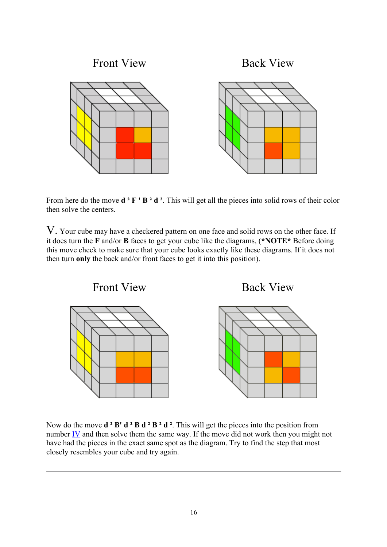![](_page_15_Figure_0.jpeg)

From here do the move **d** <sup>2</sup> **F** ' **B** <sup>2</sup> **d** <sup>2</sup>. This will get all the pieces into solid rows of their color then solve the centers.

V. Your cube may have a checkered pattern on one face and solid rows on the other face. If it does turn the **F** and/or **B** faces to get your cube like the diagrams, (**\*NOTE\*** Before doing this move check to make sure that your cube looks exactly like these diagrams. If it does not then turn **only** the back and/or front faces to get it into this position).

![](_page_15_Figure_3.jpeg)

Now do the move  $d^2 B' d^2 B d^2 B^2 d^2$ . This will get the pieces into the position from number IV and then solve them the same way. If the move did not work then you might not have had the pieces in the exact same spot as the diagram. Try to find the step that most closely resembles your cube and try again.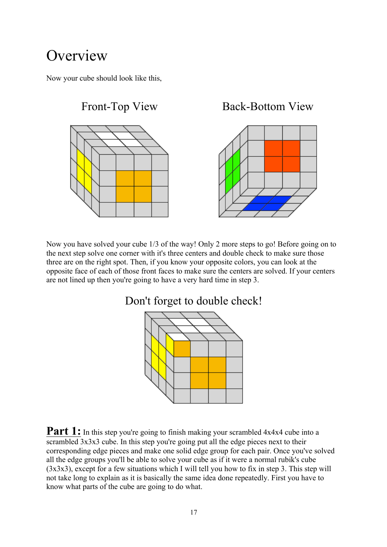# **Overview**

Now your cube should look like this,

![](_page_16_Figure_2.jpeg)

Now you have solved your cube 1/3 of the way! Only 2 more steps to go! Before going on to the next step solve one corner with it's three centers and double check to make sure those three are on the right spot. Then, if you know your opposite colors, you can look at the opposite face of each of those front faces to make sure the centers are solved. If your centers are not lined up then you're going to have a very hard time in step 3.

![](_page_16_Figure_4.jpeg)

**Part 1:** In this step you're going to finish making your scrambled 4x4x4 cube into a scrambled  $3x3x3$  cube. In this step you're going put all the edge pieces next to their corresponding edge pieces and make one solid edge group for each pair. Once you've solved all the edge groups you'll be able to solve your cube as if it were a normal rubik's cube (3x3x3), except for a few situations which I will tell you how to fix in step 3. This step will not take long to explain as it is basically the same idea done repeatedly. First you have to know what parts of the cube are going to do what.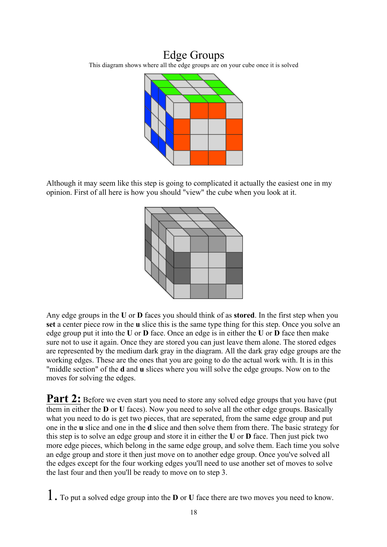### Edge Groups

This diagram shows where all the edge groups are on your cube once it is solved

![](_page_17_Figure_2.jpeg)

Although it may seem like this step is going to complicated it actually the easiest one in my opinion. First of all here is how you should "view" the cube when you look at it.

![](_page_17_Figure_4.jpeg)

Any edge groups in the **U** or **D** faces you should think of as **stored**. In the first step when you **set** a center piece row in the **u** slice this is the same type thing for this step. Once you solve an edge group put it into the **U** or **D** face. Once an edge is in either the **U** or **D** face then make sure not to use it again. Once they are stored you can just leave them alone. The stored edges are represented by the medium dark gray in the diagram. All the dark gray edge groups are the working edges. These are the ones that you are going to do the actual work with. It is in this "middle section" of the **d** and **u** slices where you will solve the edge groups. Now on to the moves for solving the edges.

Part 2: Before we even start you need to store any solved edge groups that you have (put them in either the **D** or **U** faces). Now you need to solve all the other edge groups. Basically what you need to do is get two pieces, that are seperated, from the same edge group and put one in the **u** slice and one in the **d** slice and then solve them from there. The basic strategy for this step is to solve an edge group and store it in either the **U** or **D** face. Then just pick two more edge pieces, which belong in the same edge group, and solve them. Each time you solve an edge group and store it then just move on to another edge group. Once you've solved all the edges except for the four working edges you'll need to use another set of moves to solve the last four and then you'll be ready to move on to step 3.

1. To put a solved edge group into the **<sup>D</sup>** or **<sup>U</sup>** face there are two moves you need to know.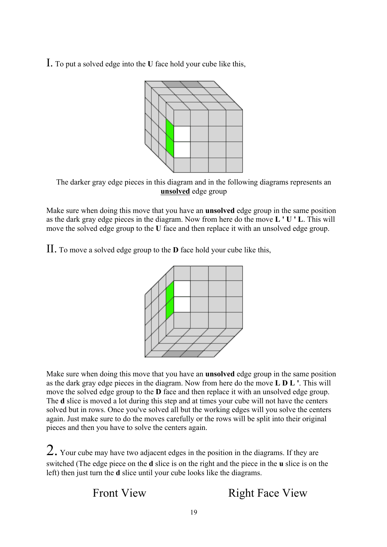I. To put a solved edge into the **<sup>U</sup>** face hold your cube like this,

![](_page_18_Figure_1.jpeg)

The darker gray edge pieces in this diagram and in the following diagrams represents an **unsolved** edge group

Make sure when doing this move that you have an **unsolved** edge group in the same position as the dark gray edge pieces in the diagram. Now from here do the move **L ' U ' L**. This will move the solved edge group to the **U** face and then replace it with an unsolved edge group.

II. To move a solved edge group to the **<sup>D</sup>** face hold your cube like this,

![](_page_18_Picture_5.jpeg)

Make sure when doing this move that you have an **unsolved** edge group in the same position as the dark gray edge pieces in the diagram. Now from here do the move **L D L '**. This will move the solved edge group to the **D** face and then replace it with an unsolved edge group. The **d** slice is moved a lot during this step and at times your cube will not have the centers solved but in rows. Once you've solved all but the working edges will you solve the centers again. Just make sure to do the moves carefully or the rows will be split into their original pieces and then you have to solve the centers again.

 $2.$  Your cube may have two adjacent edges in the position in the diagrams. If they are switched (The edge piece on the **d** slice is on the right and the piece in the **u** slice is on the left) then just turn the **d** slice until your cube looks like the diagrams.

Front View Right Face View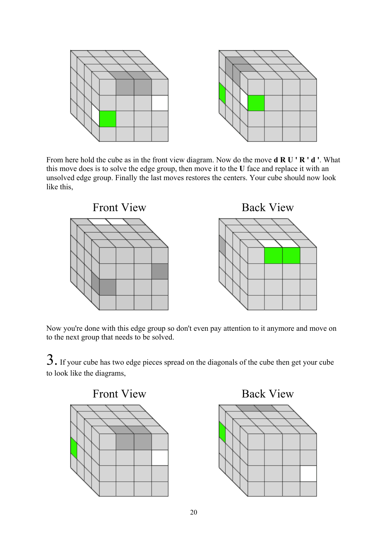![](_page_19_Figure_0.jpeg)

From here hold the cube as in the front view diagram. Now do the move **d R U ' R ' d '**. What this move does is to solve the edge group, then move it to the **U** face and replace it with an unsolved edge group. Finally the last moves restores the centers. Your cube should now look like this,

![](_page_19_Figure_2.jpeg)

Now you're done with this edge group so don't even pay attention to it anymore and move on to the next group that needs to be solved.

3. If your cube has two edge pieces spread on the diagonals of the cube then get your cube to look like the diagrams,

![](_page_19_Figure_5.jpeg)

![](_page_19_Figure_7.jpeg)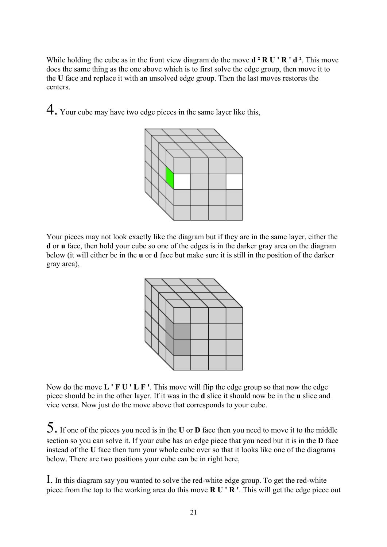While holding the cube as in the front view diagram do the move **d ² R U ' R ' d ²**. This move does the same thing as the one above which is to first solve the edge group, then move it to the **U** face and replace it with an unsolved edge group. Then the last moves restores the centers.

4. Your cube may have two edge pieces in the same layer like this,

![](_page_20_Figure_2.jpeg)

Your pieces may not look exactly like the diagram but if they are in the same layer, either the **d** or **u** face, then hold your cube so one of the edges is in the darker gray area on the diagram below (it will either be in the **u** or **d** face but make sure it is still in the position of the darker gray area),

![](_page_20_Figure_4.jpeg)

Now do the move **L ' F U ' L F '**. This move will flip the edge group so that now the edge piece should be in the other layer. If it was in the **d** slice it should now be in the **u** slice and vice versa. Now just do the move above that corresponds to your cube.

5. If one of the pieces you need is in the **<sup>U</sup>** or **<sup>D</sup>** face then you need to move it to the middle section so you can solve it. If your cube has an edge piece that you need but it is in the **D** face instead of the **U** face then turn your whole cube over so that it looks like one of the diagrams below. There are two positions your cube can be in right here,

I. In this diagram say you wanted to solve the red-white edge group. To get the red-white piece from the top to the working area do this move **R U ' R '**. This will get the edge piece out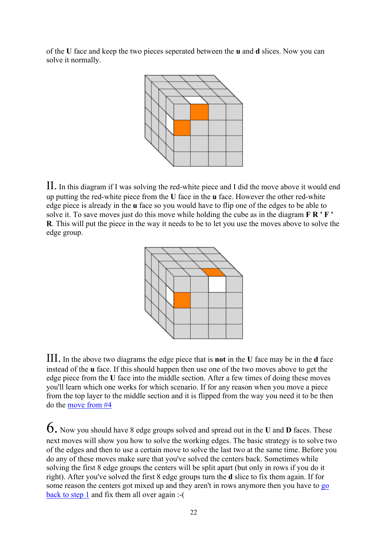of the **U** face and keep the two pieces seperated between the **u** and **d** slices. Now you can solve it normally.

![](_page_21_Figure_1.jpeg)

II. In this diagram if I was solving the red-white piece and I did the move above it would end up putting the red-white piece from the **U** face in the **u** face. However the other red-white edge piece is already in the **u** face so you would have to flip one of the edges to be able to solve it. To save moves just do this move while holding the cube as in the diagram **F R ' F ' R**. This will put the piece in the way it needs to be to let you use the moves above to solve the edge group.

![](_page_21_Figure_3.jpeg)

III. In the above two diagrams the edge piece that is **not** in the **<sup>U</sup>** face may be in the **<sup>d</sup>** face instead of the **u** face. If this should happen then use one of the two moves above to get the edge piece from the **U** face into the middle section. After a few times of doing these moves you'll learn which one works for which scenario. If for any reason when you move a piece from the top layer to the middle section and it is flipped from the way you need it to be then do the move from #4

6. Now you should have 8 edge groups solved and spread out in the **<sup>U</sup>** and **<sup>D</sup>** faces. These next moves will show you how to solve the working edges. The basic strategy is to solve two of the edges and then to use a certain move to solve the last two at the same time. Before you do any of these moves make sure that you've solved the centers back. Sometimes while solving the first 8 edge groups the centers will be split apart (but only in rows if you do it right). After you've solved the first 8 edge groups turn the **d** slice to fix them again. If for some reason the centers got mixed up and they aren't in rows anymore then you have to go back to step 1 and fix them all over again :-(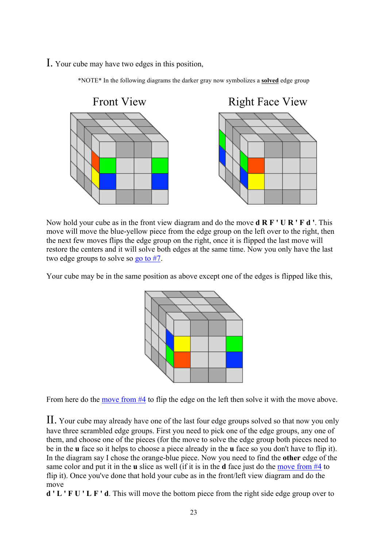I. Your cube may have two edges in this position,

![](_page_22_Figure_1.jpeg)

\*NOTE\* In the following diagrams the darker gray now symbolizes a **solved** edge group

Now hold your cube as in the front view diagram and do the move **d R F ' U R ' F d '**. This move will move the blue-yellow piece from the edge group on the left over to the right, then the next few moves flips the edge group on the right, once it is flipped the last move will restore the centers and it will solve both edges at the same time. Now you only have the last two edge groups to solve so go to #7.

Your cube may be in the same position as above except one of the edges is flipped like this,

![](_page_22_Picture_5.jpeg)

From here do the move from #4 to flip the edge on the left then solve it with the move above.

II. Your cube may already have one of the last four edge groups solved so that now you only have three scrambled edge groups. First you need to pick one of the edge groups, any one of them, and choose one of the pieces (for the move to solve the edge group both pieces need to be in the **u** face so it helps to choose a piece already in the **u** face so you don't have to flip it). In the diagram say I chose the orange-blue piece. Now you need to find the **other** edge of the same color and put it in the **u** slice as well (if it is in the **d** face just do the move from #4 to flip it). Once you've done that hold your cube as in the front/left view diagram and do the move

**d ' L ' F U ' L F ' d**. This will move the bottom piece from the right side edge group over to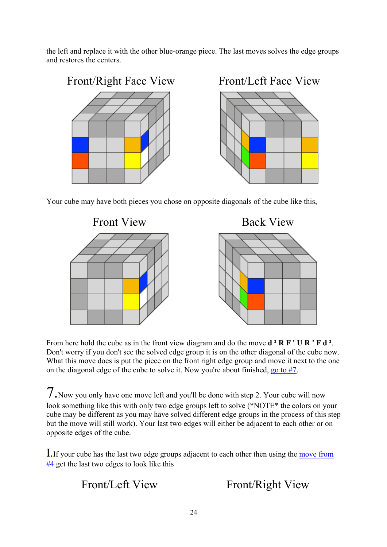the left and replace it with the other blue-orange piece. The last moves solves the edge groups and restores the centers.

![](_page_23_Figure_1.jpeg)

Your cube may have both pieces you chose on opposite diagonals of the cube like this,

![](_page_23_Figure_3.jpeg)

From here hold the cube as in the front view diagram and do the move **d ² R F ' U R ' F d ²**. Don't worry if you don't see the solved edge group it is on the other diagonal of the cube now. What this move does is put the piece on the front right edge group and move it next to the one on the diagonal edge of the cube to solve it. Now you're about finished, go to #7.

7.Now you only have one move left and you'll be done with step 2. Your cube will now look something like this with only two edge groups left to solve (\*NOTE\* the colors on your cube may be different as you may have solved different edge groups in the process of this step but the move will still work). Your last two edges will either be adjacent to each other or on opposite edges of the cube.

I.If your cube has the last two edge groups adjacent to each other then using the move from #4 get the last two edges to look like this

Front/Left View Front/Right View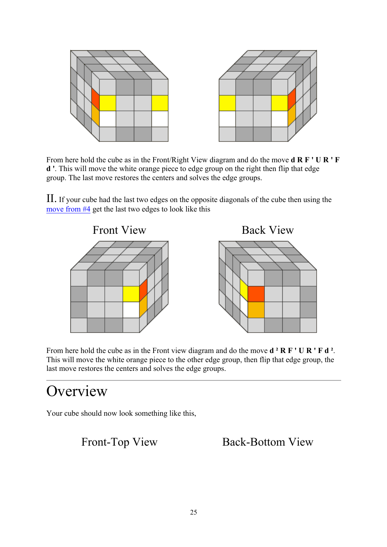![](_page_24_Figure_0.jpeg)

From here hold the cube as in the Front/Right View diagram and do the move **d R F ' U R ' F d '**. This will move the white orange piece to edge group on the right then flip that edge group. The last move restores the centers and solves the edge groups.

II. If your cube had the last two edges on the opposite diagonals of the cube then using the move from #4 get the last two edges to look like this

![](_page_24_Figure_3.jpeg)

From here hold the cube as in the Front view diagram and do the move **d ² R F ' U R ' F d ²**. This will move the white orange piece to the other edge group, then flip that edge group, the last move restores the centers and solves the edge groups.

## **Overview**

Your cube should now look something like this,

Front-Top View Back-Bottom View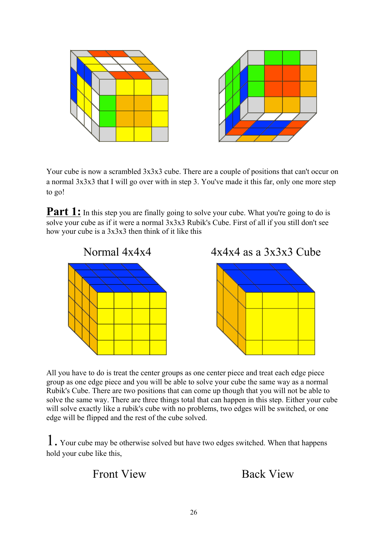![](_page_25_Figure_0.jpeg)

Your cube is now a scrambled  $3x3x3$  cube. There are a couple of positions that can't occur on a normal 3x3x3 that I will go over with in step 3. You've made it this far, only one more step to go!

**Part 1:** In this step you are finally going to solve your cube. What you're going to do is solve your cube as if it were a normal 3x3x3 Rubik's Cube. First of all if you still don't see how your cube is a 3x3x3 then think of it like this

![](_page_25_Figure_3.jpeg)

All you have to do is treat the center groups as one center piece and treat each edge piece group as one edge piece and you will be able to solve your cube the same way as a normal Rubik's Cube. There are two positions that can come up though that you will not be able to solve the same way. There are three things total that can happen in this step. Either your cube will solve exactly like a rubik's cube with no problems, two edges will be switched, or one edge will be flipped and the rest of the cube solved.

1. Your cube may be otherwise solved but have two edges switched. When that happens hold your cube like this,

Front View Back View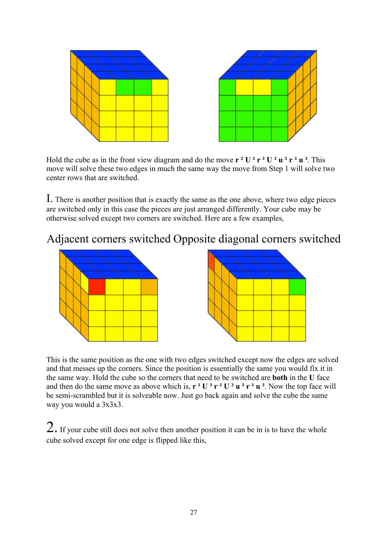![](_page_26_Figure_0.jpeg)

Hold the cube as in the front view diagram and do the move  $\mathbf{r} \cdot \mathbf{U} \cdot \mathbf{r} \cdot \mathbf{U} \cdot \mathbf{V} \cdot \mathbf{v} \cdot \mathbf{V} \cdot \mathbf{v} \cdot \mathbf{V} \cdot \mathbf{V} \cdot \mathbf{V} \cdot \mathbf{V} \cdot \mathbf{V} \cdot \mathbf{V} \cdot \mathbf{V} \cdot \mathbf{V} \cdot \mathbf{V} \cdot \mathbf{V} \cdot \mathbf{V} \cdot \mathbf{V} \cdot \$ move will solve these two edges in much the same way the move from Step 1 will solve two center rows that are switched.

I. There is another position that is exactly the same as the one above, where two edge pieces are switched only in this case the pieces are just arranged differently. Your cube may be otherwise solved except two corners are switched. Here are a few examples,

### Adjacent corners switched Opposite diagonal corners switched

![](_page_26_Figure_4.jpeg)

This is the same position as the one with two edges switched except now the edges are solved and that messes up the corners. Since the position is essentially the same you would fix it in the same way. Hold the cube so the corners that need to be switched are **both** in the **U** face and then do the same move as above which is,  $\mathbf{r} \cdot \mathbf{U} \cdot \mathbf{r} \cdot \mathbf{U} \cdot \mathbf{u} \cdot \mathbf{r} \cdot \mathbf{u} \cdot \mathbf{v}$ . Now the top face will be semi-scrambled but it is solveable now. Just go back again and solve the cube the same way you would a 3x3x3.

 $2.$  If your cube still does not solve then another position it can be in is to have the whole cube solved except for one edge is flipped like this,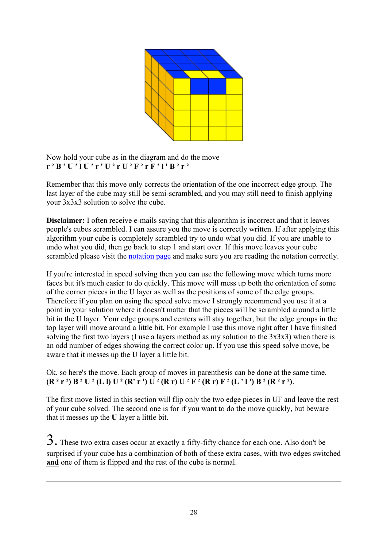![](_page_27_Figure_0.jpeg)

Now hold your cube as in the diagram and do the move **r ² B ² U ² l U ² r ' U ² r U ² F ² r F ² l ' B ² r ²**

Remember that this move only corrects the orientation of the one incorrect edge group. The last layer of the cube may still be semi-scrambled, and you may still need to finish applying your 3x3x3 solution to solve the cube.

**Disclaimer:** I often receive e-mails saying that this algorithm is incorrect and that it leaves people's cubes scrambled. I can assure you the move is correctly written. If after applying this algorithm your cube is completely scrambled try to undo what you did. If you are unable to undo what you did, then go back to step 1 and start over. If this move leaves your cube scrambled please visit the notation page and make sure you are reading the notation correctly.

If you're interested in speed solving then you can use the following move which turns more faces but it's much easier to do quickly. This move will mess up both the orientation of some of the corner pieces in the **U** layer as well as the positions of some of the edge groups. Therefore if you plan on using the speed solve move I strongly recommend you use it at a point in your solution where it doesn't matter that the pieces will be scrambled around a little bit in the **U** layer. Your edge groups and centers will stay together, but the edge groups in the top layer will move around a little bit. For example I use this move right after I have finished solving the first two layers (I use a layers method as my solution to the  $3x3x3$ ) when there is an odd number of edges showing the correct color up. If you use this speed solve move, be aware that it messes up the **U** layer a little bit.

### Ok, so here's the move. Each group of moves in parenthesis can be done at the same time.  $(R<sup>2</sup> r<sup>2</sup>) B<sup>2</sup> U<sup>2</sup> (L I) U<sup>2</sup> (R' r') U<sup>2</sup> (R r) U<sup>2</sup> F<sup>2</sup> (R r) F<sup>2</sup> (L' I') B<sup>2</sup> (R<sup>2</sup> r<sup>2</sup>).$

The first move listed in this section will flip only the two edge pieces in UF and leave the rest of your cube solved. The second one is for if you want to do the move quickly, but beware that it messes up the **U** layer a little bit.

 $3.$  These two extra cases occur at exactly a fifty-fifty chance for each one. Also don't be surprised if your cube has a combination of both of these extra cases, with two edges switched **and** one of them is flipped and the rest of the cube is normal.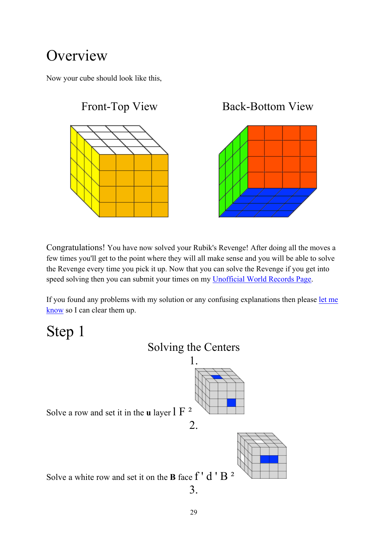# **Overview**

Now your cube should look like this,

![](_page_28_Figure_2.jpeg)

Congratulations! You have now solved your Rubik's Revenge! After doing all the moves a few times you'll get to the point where they will all make sense and you will be able to solve the Revenge every time you pick it up. Now that you can solve the Revenge if you get into speed solving then you can submit your times on my Unofficial World Records Page.

If you found any problems with my solution or any confusing explanations then please let me know so I can clear them up.

Step 1

![](_page_28_Figure_6.jpeg)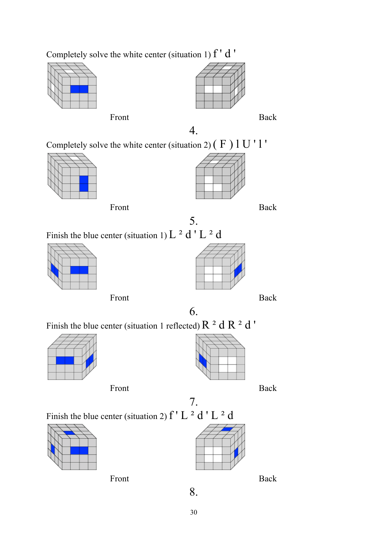![](_page_29_Figure_0.jpeg)

![](_page_29_Figure_1.jpeg)

Front Back

![](_page_29_Figure_3.jpeg)

![](_page_29_Figure_4.jpeg)

4.

Completely solve the white center (situation 2)  $(F)$  1 U ' 1 '

![](_page_29_Figure_7.jpeg)

![](_page_29_Figure_8.jpeg)

![](_page_29_Figure_9.jpeg)

Finish the blue center (situation 1)  $L^2 d' L^2 d$ 

![](_page_29_Picture_12.jpeg)

![](_page_29_Figure_14.jpeg)

Front Back

6.

5.

Finish the blue center (situation 1 reflected)  $R^2 dR^2 d'$ 

![](_page_29_Figure_18.jpeg)

![](_page_29_Figure_20.jpeg)

Front Back

7. Finish the blue center (situation 2)  $f' L^2 d' L^2 d$ 

![](_page_29_Figure_23.jpeg)

Front Back

![](_page_29_Picture_25.jpeg)

30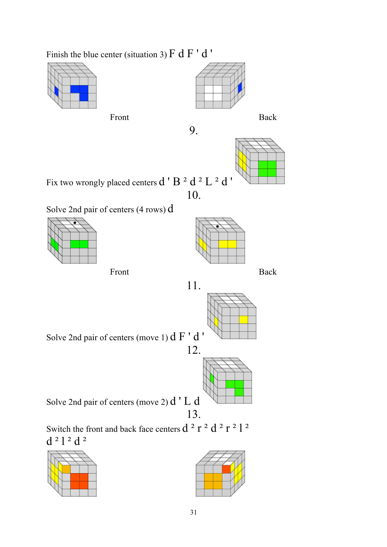Finish the blue center (situation 3)  $F dF' d'$ 

![](_page_30_Figure_1.jpeg)

Front Back

![](_page_30_Figure_3.jpeg)

![](_page_30_Figure_5.jpeg)

![](_page_30_Figure_6.jpeg)

Fix two wrongly placed centers  $d' B^2 d^2 L^2 d'$ 

10.

11.

Solve 2nd pair of centers (4 rows) d

![](_page_30_Figure_10.jpeg)

![](_page_30_Figure_12.jpeg)

Solve 2nd pair of centers (move 1) d F ' d '

![](_page_30_Figure_15.jpeg)

Solve 2nd pair of centers (move 2) d ' L d 13.

Switch the front and back face centers  $d^2 r^2 d^2 r^2 l^2$ d ² l ² d ²

![](_page_30_Figure_18.jpeg)

![](_page_30_Figure_19.jpeg)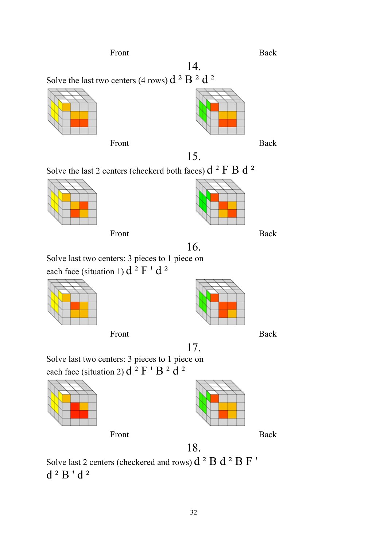18.

17.

32

Front Back

Solve the last two centers (4 rows)  $d^2 B^2 d^2$ 

![](_page_31_Figure_3.jpeg)

Front Back

![](_page_31_Figure_5.jpeg)

![](_page_31_Figure_6.jpeg)

15.

14.

![](_page_31_Figure_8.jpeg)

![](_page_31_Figure_9.jpeg)

Front Back

![](_page_31_Figure_11.jpeg)

16. Solve last two centers: 3 pieces to 1 piece on each face (situation 1)  $d^2 F' d^2$ 

![](_page_31_Figure_13.jpeg)

Front Back

![](_page_31_Figure_15.jpeg)

Solve last two centers: 3 pieces to 1 piece on each face (situation 2)  $d^2 F' B^2 d^2$ 

![](_page_31_Figure_18.jpeg)

![](_page_31_Figure_20.jpeg)

Solve last 2 centers (checkered and rows)  $d^2 B d^2 B F'$  $d<sup>2</sup> B' d<sup>2</sup>$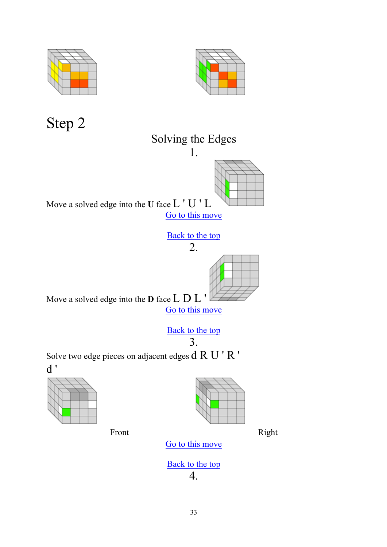![](_page_32_Figure_0.jpeg)

![](_page_32_Figure_1.jpeg)

Step 2

![](_page_32_Figure_3.jpeg)

Solve two edge pieces on adjacent edges d R U ' R ' d '

![](_page_32_Figure_5.jpeg)

![](_page_32_Figure_6.jpeg)

Front Right

Go to this move

![](_page_32_Figure_9.jpeg)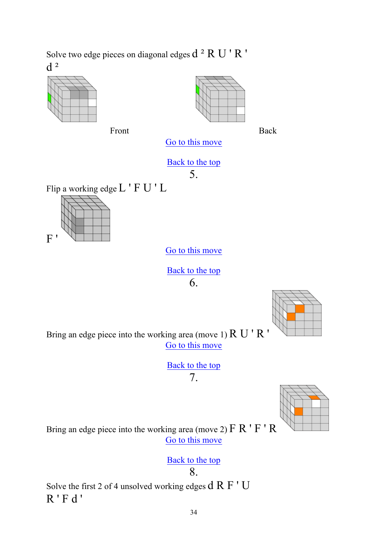Solve two edge pieces on diagonal edges  $d^2 R U' R'$  $d^2$ 

![](_page_33_Figure_1.jpeg)

Front Back

![](_page_33_Figure_3.jpeg)

Go to this move

Back to the top 5.

Flip a working edge L ' F U ' L

![](_page_33_Figure_8.jpeg)

Go to this move

Back to the top 6.

![](_page_33_Figure_11.jpeg)

Bring an edge piece into the working area (move 1) R U ' R ' Go to this move

> Back to the top 7.

![](_page_33_Picture_14.jpeg)

Bring an edge piece into the working area (move 2)  $\overline{F}R'F'R$ Go to this move

Back to the top

8.

Solve the first 2 of 4 unsolved working edges d R F ' U R ' F d '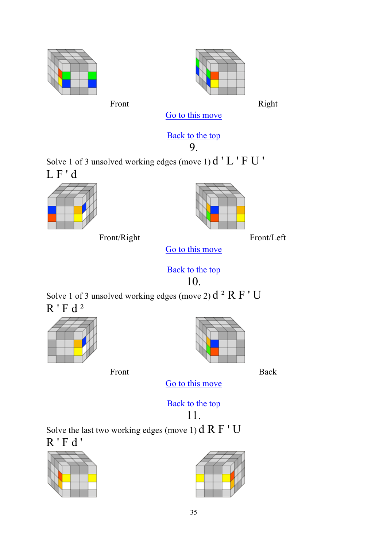![](_page_34_Picture_0.jpeg)

Front Right

Go to this move

### Back to the top

9.

Solve 1 of 3 unsolved working edges (move 1) d ' L ' F U ' L F ' d

![](_page_34_Figure_8.jpeg)

Front/Right Front/Left

![](_page_34_Figure_10.jpeg)

Go to this move

Back to the top 10.

Solve 1 of 3 unsolved working edges (move 2)  $d^2 R F' U$ R ' F d ²

![](_page_34_Figure_15.jpeg)

![](_page_34_Picture_16.jpeg)

Front Back

Go to this move

Back to the top

11.

Solve the last two working edges (move 1)  $dR F' U$ R ' F d '

![](_page_34_Figure_23.jpeg)

![](_page_34_Figure_24.jpeg)